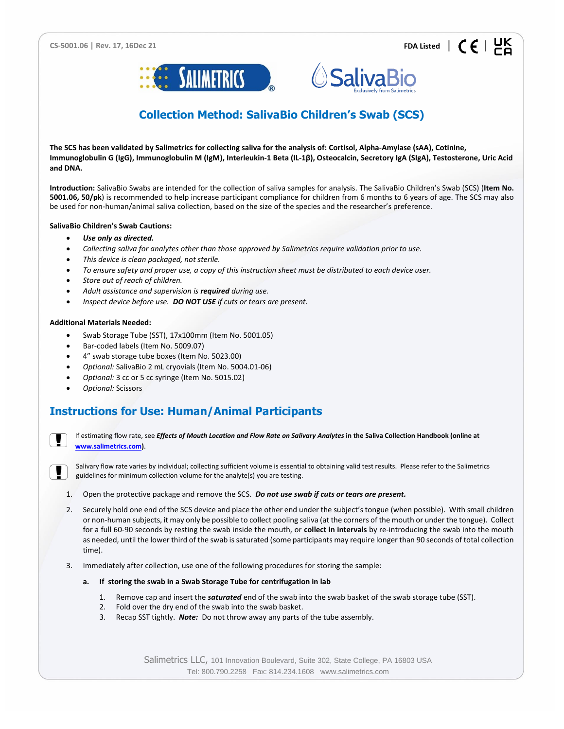



# **Collection Method: SalivaBio Children's Swab (SCS)**

**The SCS has been validated by Salimetrics for collecting saliva for the analysis of: Cortisol, Alpha-Amylase (sAA), Cotinine, Immunoglobulin G (IgG), Immunoglobulin M (IgM), Interleukin-1 Beta (IL-1β), Osteocalcin, Secretory IgA (SIgA), Testosterone, Uric Acid and DNA.**

**Introduction:** SalivaBio Swabs are intended for the collection of saliva samples for analysis. The SalivaBio Children's Swab (SCS) (**Item No. 5001.06, 50/pk**) is recommended to help increase participant compliance for children from 6 months to 6 years of age. The SCS may also be used for non-human/animal saliva collection, based on the size of the species and the researcher's preference.

## **SalivaBio Children's Swab Cautions:**

- *Use only as directed.*
- *Collecting saliva for analytes other than those approved by Salimetrics require validation prior to use.*
- *This device is clean packaged, not sterile.*
- *To ensure safety and proper use, a copy of this instruction sheet must be distributed to each device user.*
- *Store out of reach of children.*
- *Adult assistance and supervision is required during use.*
- *Inspect device before use. DO NOT USE if cuts or tears are present.*

### **Additional Materials Needed:**

- Swab Storage Tube (SST), 17x100mm (Item No. 5001.05)
- Bar-coded labels (Item No. 5009.07)
- 4" swab storage tube boxes (Item No. 5023.00)
- *Optional:* SalivaBio 2 mL cryovials (Item No. 5004.01-06)
- *Optional:* 3 cc or 5 cc syringe (Item No. 5015.02)
- *Optional:* Scissors

# **Instructions for Use: Human/Animal Participants**



If estimating flow rate, see *Effects of Mouth Location and Flow Rate on Salivary Analytes in the Saliva Collection Handbook (online at* **[www.salimetrics.com\)](http://www.salimetrics.com/)**.



Salivary flow rate varies by individual; collecting sufficient volume is essential to obtaining valid test results. Please refer to the Salimetrics guidelines for minimum collection volume for the analyte(s) you are testing.

- 1. Open the protective package and remove the SCS. *Do not use swab if cuts or tears are present.*
- 2. Securely hold one end of the SCS device and place the other end under the subject's tongue (when possible). With small children or non-human subjects, it may only be possible to collect pooling saliva (at the corners of the mouth or under the tongue). Collect for a full 60-90 seconds by resting the swab inside the mouth, or **collect in intervals** by re-introducing the swab into the mouth as needed, until the lower third of the swab is saturated (some participants may require longer than 90 seconds of total collection time).
- 3. Immediately after collection, use one of the following procedures for storing the sample:
	- **a. If storing the swab in a Swab Storage Tube for centrifugation in lab**
		- 1. Remove cap and insert the *saturated* end of the swab into the swab basket of the swab storage tube (SST).
		- 2. Fold over the dry end of the swab into the swab basket.
		- 3. Recap SST tightly. *Note:* Do not throw away any parts of the tube assembly.